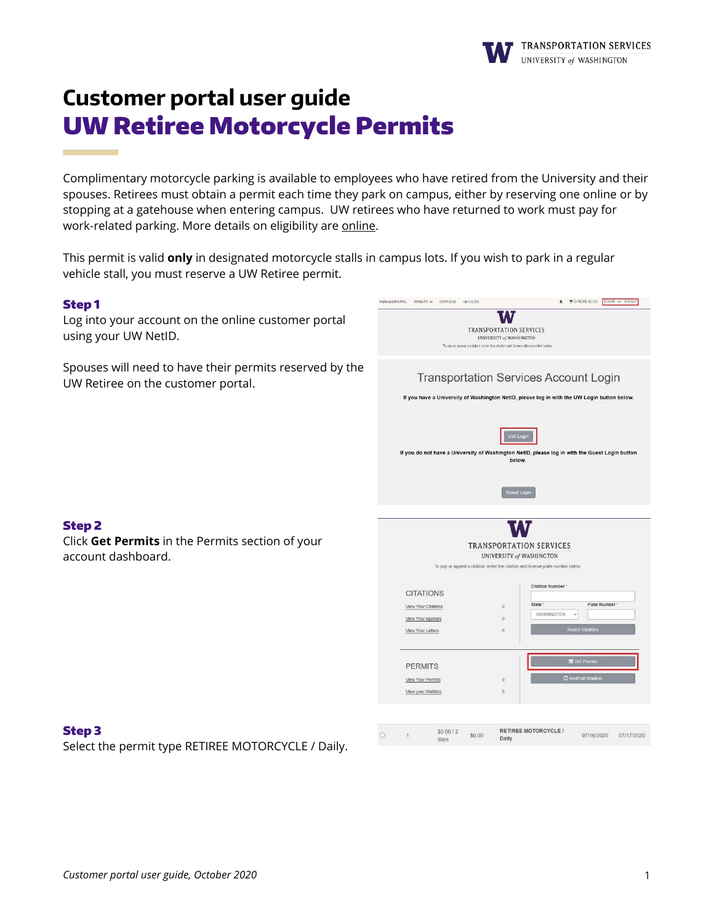

# **Customer portal user guide** UW Retiree Motorcycle Permits

Complimentary motorcycle parking is available to employees who have retired from the University and their spouses. Retirees must obtain a permit each time they park on campus, either by reserving one online or by stopping at a gatehouse when entering campus. UW retirees who have returned to work must pay for work-related parking. More details on eligibility are [online.](https://transportation.uw.edu/park/visitor/uw-retirees)

This permit is valid **only** in designated motorcycle stalls in campus lots. If you wish to park in a regular vehicle stall, you must reserve a UW Retiree permit.

## Step 1

**Contract Contract Contract** 

Log into your account on the online customer portal using your UW NetID.

Spouses will need to have their permits reserved by the UW Retiree on the customer portal.

|                                                                                                                                               |                                                                                   |                  |                      | <b>TRANSPORTATION SERVICES</b><br>UNIVERSITY of WASHINGTON<br>To pay or appeal a citation, enter the citation and license plate number below. |                            |                                         |            |  |  |  |
|-----------------------------------------------------------------------------------------------------------------------------------------------|-----------------------------------------------------------------------------------|------------------|----------------------|-----------------------------------------------------------------------------------------------------------------------------------------------|----------------------------|-----------------------------------------|------------|--|--|--|
|                                                                                                                                               |                                                                                   |                  |                      | <b>Transportation Services Account Login</b><br>If you have a University of Washington NetID, please log in with the UW Login button below.   |                            |                                         |            |  |  |  |
|                                                                                                                                               |                                                                                   |                  |                      | UW Login<br>If you do not have a University of Washington NetID, please log in with the Guest Login button<br>below.<br><b>Guest Login</b>    |                            |                                         |            |  |  |  |
| <b>TRANSPORTATION SERVICES</b><br>UNIVERSITY of WASHINGTON<br>To pay or appeal a citation, enter the citation and license plate number below. |                                                                                   |                  |                      |                                                                                                                                               |                            |                                         |            |  |  |  |
|                                                                                                                                               | <b>CITATIONS</b><br>View Your Citations<br>View Your Appeals<br>View Your Letters |                  |                      | <b>Citation Number</b><br>State -<br>$\overline{0}$<br>$\Omega$<br>$\Omega$                                                                   | WASHINGTON<br>$\checkmark$ | Plate Number<br><b>Search Citations</b> |            |  |  |  |
|                                                                                                                                               | <b>PERMITS</b><br>View Your Permits<br>View your Waitlists                        |                  | $\theta$<br>$\Omega$ | Get Permits<br>C Add/Edit Waitlists                                                                                                           |                            |                                         |            |  |  |  |
| Ο                                                                                                                                             | 1                                                                                 | \$0.00/2<br>days | \$0.00               | <b>RETIREE MOTORCYCLE /</b><br>Daily                                                                                                          |                            | 07/16/2020                              | 07/17/2020 |  |  |  |

PARKING PORTAL PERMITS ♥ CITATIONS VEHICLES

#### Step 2

Click **Get Permits** in the Permits section of your account dashboard.

# Step 3

Select the permit type RETIREE MOTORCYCLE / Daily.